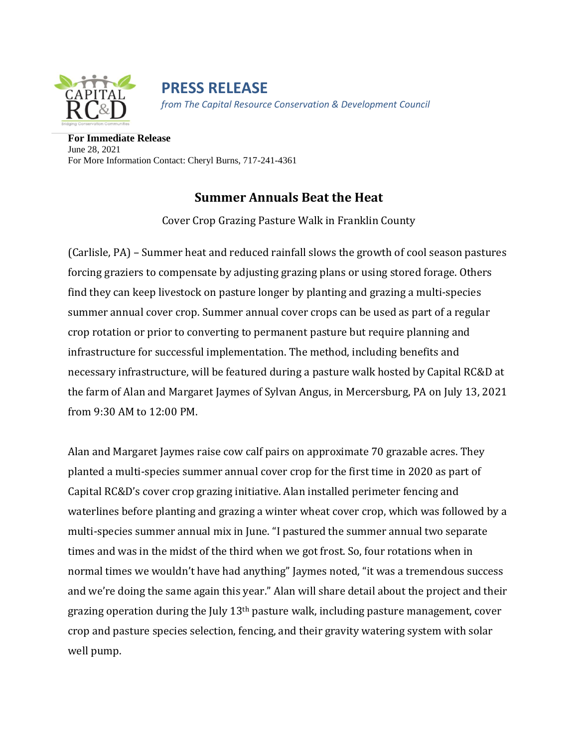

**PRESS RELEASE** *from The Capital Resource Conservation & Development Council*

**For Immediate Release** June 28, 2021 For More Information Contact: Cheryl Burns, 717-241-4361

## **Summer Annuals Beat the Heat**

Cover Crop Grazing Pasture Walk in Franklin County

(Carlisle, PA) – Summer heat and reduced rainfall slows the growth of cool season pastures forcing graziers to compensate by adjusting grazing plans or using stored forage. Others find they can keep livestock on pasture longer by planting and grazing a multi-species summer annual cover crop. Summer annual cover crops can be used as part of a regular crop rotation or prior to converting to permanent pasture but require planning and infrastructure for successful implementation. The method, including benefits and necessary infrastructure, will be featured during a pasture walk hosted by Capital RC&D at the farm of Alan and Margaret Jaymes of Sylvan Angus, in Mercersburg, PA on July 13, 2021 from 9:30 AM to 12:00 PM.

Alan and Margaret Jaymes raise cow calf pairs on approximate 70 grazable acres. They planted a multi-species summer annual cover crop for the first time in 2020 as part of Capital RC&D's cover crop grazing initiative. Alan installed perimeter fencing and waterlines before planting and grazing a winter wheat cover crop, which was followed by a multi-species summer annual mix in June. "I pastured the summer annual two separate times and was in the midst of the third when we got frost. So, four rotations when in normal times we wouldn't have had anything" Jaymes noted, "it was a tremendous success and we're doing the same again this year." Alan will share detail about the project and their grazing operation during the July 13th pasture walk, including pasture management, cover crop and pasture species selection, fencing, and their gravity watering system with solar well pump.